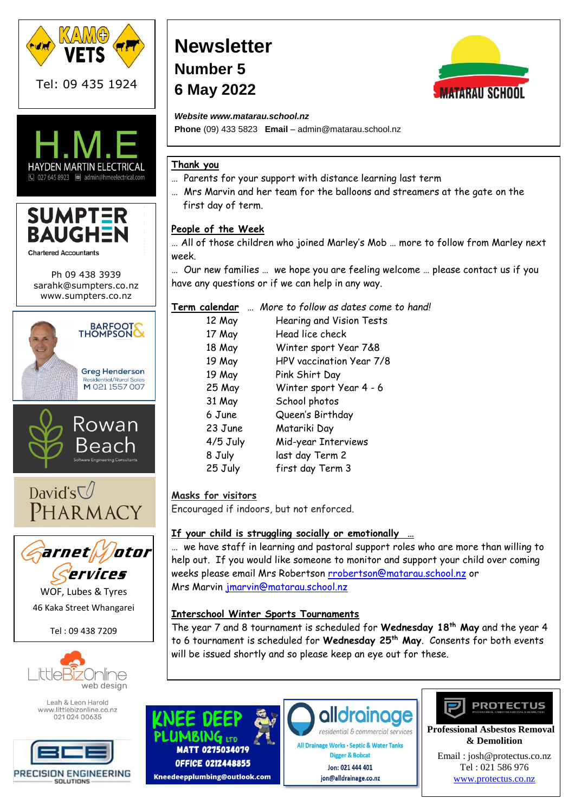





Ph 09 438 3939 [sarahk@sumpters.co.nz](mailto:sarahk@sumpters.co.nz) www.sumpters.co.nz









WOF, Lubes & Tyres 46 Kaka Street Whangarei

Tel : 09 438 7209



Leah & Leon Harold www.littlebizonline.co.nz 02102400635



# **Newsletter Number 5 6 May 2022**



*Website www.matarau.school.nz*

**Phone** (09) 433 5823 **Email** – admin@matarau.school.nz

# **Thank you**

- … Parents for your support with distance learning last term
- … Mrs Marvin and her team for the balloons and streamers at the gate on the first day of term.

# **People of the Week**

… All of those children who joined Marley's Mob … more to follow from Marley next week.

… Our new families … we hope you are feeling welcome … please contact us if you have any questions or if we can help in any way.

|            | Term calendar  More to follow as dates come to hand! |
|------------|------------------------------------------------------|
| 12 May     | Hearing and Vision Tests                             |
| 17 May     | Head lice check                                      |
| 18 May     | Winter sport Year 7&8                                |
| 19 May     | HPV vaccination Year 7/8                             |
| 19 May     | Pink Shirt Day                                       |
| 25 May     | Winter sport Year 4 - 6                              |
| 31 May     | School photos                                        |
| 6 June     | Queen's Birthday                                     |
| 23 June    | Matariki Day                                         |
| $4/5$ July | Mid-year Interviews                                  |
| 8 July     | last day Term 2                                      |
| 25 July    | first day Term 3                                     |
|            |                                                      |

# **Masks for visitors**

Encouraged if indoors, but not enforced.

# **If your child is struggling socially or emotionally …**

… we have staff in learning and pastoral support roles who are more than willing to help out. If you would like someone to monitor and support your child over coming weeks please email Mrs Robertson [rrobertson@matarau.school.nz](mailto:rrobertson@matarau.school.nz) or Mrs Marvin [jmarvin@matarau.school.nz](mailto:jmarvin@matarau.school.nz)

# **Interschool Winter Sports Tournaments**

The year 7 and 8 tournament is scheduled for **Wednesday 18th May** and the year 4 to 6 tournament is scheduled for **Wednesday 25th May**. Consents for both events will be issued shortly and so please keep an eye out for these.



residential & commercial services All Drainage Works · Septic & Water Tanks

Digger & Bobcat Jon: 021 444 401 jon@alldrainage.co.nz



 **Professional Asbestos Removal & Demolition**

Email [: josh@protectus.co.nz](mailto:josh@protectus.co.nz) Tel : 021 586 976 [www.protectus.co.nz](http://www.protectus.co.nz/)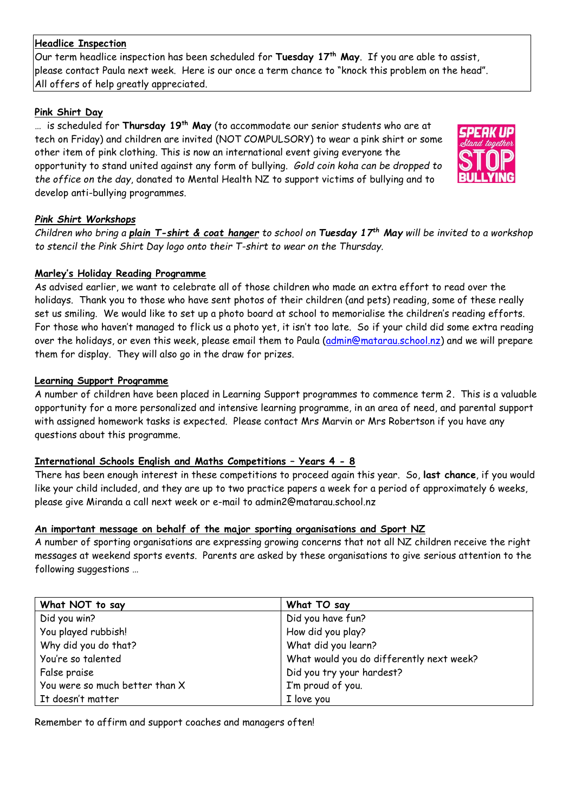#### **Headlice Inspection**

Our term headlice inspection has been scheduled for **Tuesday 17th May**. If you are able to assist, please contact Paula next week. Here is our once a term chance to "knock this problem on the head". All offers of help greatly appreciated.

#### **Pink Shirt Day**

… is scheduled for **Thursday 19th May** (to accommodate our senior students who are at tech on Friday) and children are invited (NOT COMPULSORY) to wear a pink shirt or some other item of pink clothing. This is now an international event giving everyone the opportunity to stand united against any form of bullying. *Gold coin koha can be dropped to the office on the day*, donated to Mental Health NZ to support victims of bullying and to develop anti-bullying programmes.



## *Pink Shirt Workshops*

*Children who bring a plain T-shirt & coat hanger to school on Tuesday 17th May will be invited to a workshop to stencil the Pink Shirt Day logo onto their T-shirt to wear on the Thursday.*

## **Marley's Holiday Reading Programme**

As advised earlier, we want to celebrate all of those children who made an extra effort to read over the holidays. Thank you to those who have sent photos of their children (and pets) reading, some of these really set us smiling. We would like to set up a photo board at school to memorialise the children's reading efforts. For those who haven't managed to flick us a photo yet, it isn't too late. So if your child did some extra reading over the holidays, or even this week, please email them to Paula [\(admin@matarau.school.nz\)](mailto:admin@matarau.school.nz) and we will prepare them for display. They will also go in the draw for prizes.

## **Learning Support Programme**

A number of children have been placed in Learning Support programmes to commence term 2. This is a valuable opportunity for a more personalized and intensive learning programme, in an area of need, and parental support with assigned homework tasks is expected. Please contact Mrs Marvin or Mrs Robertson if you have any questions about this programme.

# **International Schools English and Maths Competitions – Years 4 - 8**

There has been enough interest in these competitions to proceed again this year. So, **last chance**, if you would like your child included, and they are up to two practice papers a week for a period of approximately 6 weeks, please give Miranda a call next week or e-mail to admin2@matarau.school.nz

#### **An important message on behalf of the major sporting organisations and Sport NZ**

A number of sporting organisations are expressing growing concerns that not all NZ children receive the right messages at weekend sports events. Parents are asked by these organisations to give serious attention to the following suggestions …

| What NOT to say                | What TO say                              |
|--------------------------------|------------------------------------------|
| Did you win?                   | Did you have fun?                        |
| You played rubbish!            | How did you play?                        |
| Why did you do that?           | What did you learn?                      |
| You're so talented             | What would you do differently next week? |
| False praise                   | Did you try your hardest?                |
| You were so much better than X | I'm proud of you.                        |
| It doesn't matter              | I love you                               |

Remember to affirm and support coaches and managers often!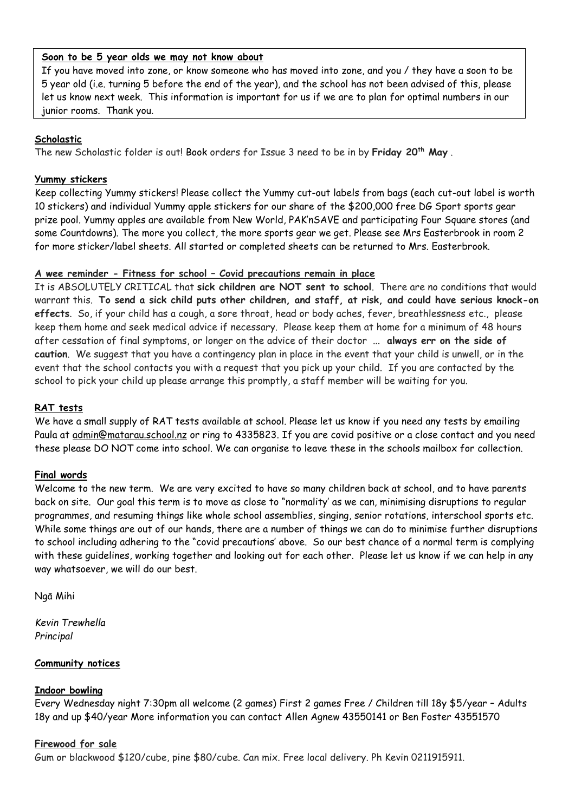#### **Soon to be 5 year olds we may not know about**

If you have moved into zone, or know someone who has moved into zone, and you / they have a soon to be 5 year old (i.e. turning 5 before the end of the year), and the school has not been advised of this, please let us know next week. This information is important for us if we are to plan for optimal numbers in our junior rooms. Thank you.

#### **Scholastic**

The new Scholastic folder is out! Book orders for Issue 3 need to be in by **Friday 20th May** .

#### **Yummy stickers**

Keep collecting Yummy stickers! Please collect the Yummy cut-out labels from bags (each cut-out label is worth 10 stickers) and individual Yummy apple stickers for our share of the \$200,000 free DG Sport sports gear prize pool. Yummy apples are available from New World, PAK'nSAVE and participating Four Square stores (and some Countdowns). The more you collect, the more sports gear we get. Please see Mrs Easterbrook in room 2 for more sticker/label sheets. All started or completed sheets can be returned to Mrs. Easterbrook.

## **A wee reminder - Fitness for school – Covid precautions remain in place**

It is ABSOLUTELY CRITICAL that **sick children are NOT sent to school**. There are no conditions that would warrant this. **To send a sick child puts other children, and staff, at risk, and could have serious knock-on effects**. So, if your child has a cough, a sore throat, head or body aches, fever, breathlessness etc., please keep them home and seek medical advice if necessary. Please keep them at home for a minimum of 48 hours after cessation of final symptoms, or longer on the advice of their doctor ... **always err on the side of caution**. We suggest that you have a contingency plan in place in the event that your child is unwell, or in the event that the school contacts you with a request that you pick up your child. If you are contacted by the school to pick your child up please arrange this promptly, a staff member will be waiting for you.

#### **RAT tests**

We have a small supply of RAT tests available at school. Please let us know if you need any tests by emailing Paula at [admin@matarau.school.nz](mailto:admin@matarau.school.nz) or ring to 4335823. If you are covid positive or a close contact and you need these please DO NOT come into school. We can organise to leave these in the schools mailbox for collection.

#### **Final words**

Welcome to the new term. We are very excited to have so many children back at school, and to have parents back on site. Our goal this term is to move as close to "normality' as we can, minimising disruptions to regular programmes, and resuming things like whole school assemblies, singing, senior rotations, interschool sports etc. While some things are out of our hands, there are a number of things we can do to minimise further disruptions to school including adhering to the "covid precautions' above. So our best chance of a normal term is complying with these guidelines, working together and looking out for each other. Please let us know if we can help in any way whatsoever, we will do our best.

Ngā Mihi

*Kevin Trewhella Principal*

#### **Community notices**

#### **Indoor bowling**

Every Wednesday night 7:30pm all welcome (2 games) First 2 games Free / Children till 18y \$5/year – Adults 18y and up \$40/year More information you can contact Allen Agnew 43550141 or Ben Foster 43551570

#### **Firewood for sale**

Gum or blackwood \$120/cube, pine \$80/cube. Can mix. Free local delivery. Ph Kevin 0211915911.